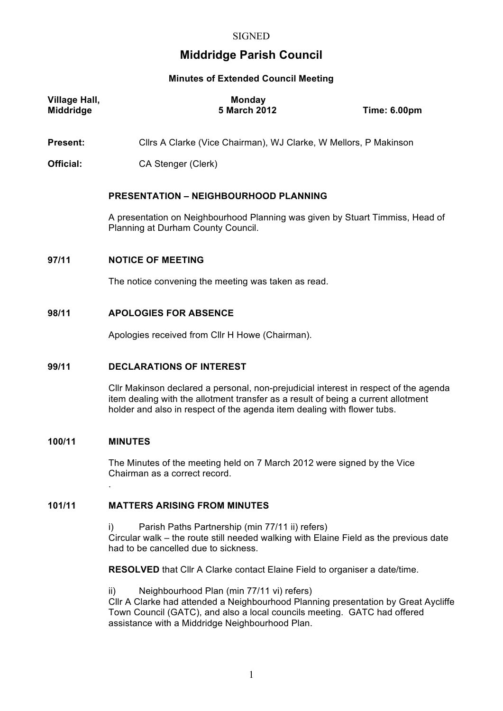# **Middridge Parish Council**

# **Minutes of Extended Council Meeting**

| Village Hall,<br><b>Middridge</b> | <b>Monday</b><br>5 March 2012 | <b>Time: 6.00pm</b> |
|-----------------------------------|-------------------------------|---------------------|
|                                   |                               |                     |

**Present:** Cllrs A Clarke (Vice Chairman), WJ Clarke, W Mellors, P Makinson

**Official:** CA Stenger (Clerk)

# **PRESENTATION – NEIGHBOURHOOD PLANNING**

A presentation on Neighbourhood Planning was given by Stuart Timmiss, Head of Planning at Durham County Council.

## **97/11 NOTICE OF MEETING**

The notice convening the meeting was taken as read.

# **98/11 APOLOGIES FOR ABSENCE**

Apologies received from Cllr H Howe (Chairman).

# **99/11 DECLARATIONS OF INTEREST**

Cllr Makinson declared a personal, non-prejudicial interest in respect of the agenda item dealing with the allotment transfer as a result of being a current allotment holder and also in respect of the agenda item dealing with flower tubs.

# **100/11 MINUTES**

.

The Minutes of the meeting held on 7 March 2012 were signed by the Vice Chairman as a correct record.

# **101/11 MATTERS ARISING FROM MINUTES**

i) Parish Paths Partnership (min 77/11 ii) refers) Circular walk – the route still needed walking with Elaine Field as the previous date had to be cancelled due to sickness.

**RESOLVED** that Cllr A Clarke contact Elaine Field to organiser a date/time.

ii) Neighbourhood Plan (min 77/11 vi) refers) Cllr A Clarke had attended a Neighbourhood Planning presentation by Great Aycliffe Town Council (GATC), and also a local councils meeting. GATC had offered assistance with a Middridge Neighbourhood Plan.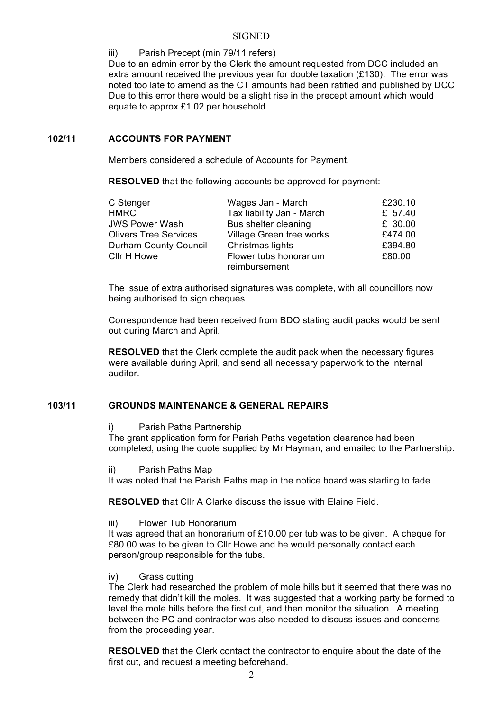### **SIGNED**

### iii) Parish Precept (min 79/11 refers)

Due to an admin error by the Clerk the amount requested from DCC included an extra amount received the previous year for double taxation (£130). The error was noted too late to amend as the CT amounts had been ratified and published by DCC Due to this error there would be a slight rise in the precept amount which would equate to approx £1.02 per household.

# **102/11 ACCOUNTS FOR PAYMENT**

Members considered a schedule of Accounts for Payment.

**RESOLVED** that the following accounts be approved for payment:-

| C Stenger                    | Wages Jan - March                       | £230.10 |
|------------------------------|-----------------------------------------|---------|
| <b>HMRC</b>                  | Tax liability Jan - March               | £ 57.40 |
| <b>JWS Power Wash</b>        | Bus shelter cleaning                    | £ 30.00 |
| <b>Olivers Tree Services</b> | Village Green tree works                | £474.00 |
| <b>Durham County Council</b> | Christmas lights                        | £394.80 |
| Cllr H Howe                  | Flower tubs honorarium<br>reimbursement | £80.00  |

The issue of extra authorised signatures was complete, with all councillors now being authorised to sign cheques.

Correspondence had been received from BDO stating audit packs would be sent out during March and April.

**RESOLVED** that the Clerk complete the audit pack when the necessary figures were available during April, and send all necessary paperwork to the internal auditor.

# **103/11 GROUNDS MAINTENANCE & GENERAL REPAIRS**

i) Parish Paths Partnership

The grant application form for Parish Paths vegetation clearance had been completed, using the quote supplied by Mr Hayman, and emailed to the Partnership.

ii) Parish Paths Map

It was noted that the Parish Paths map in the notice board was starting to fade.

**RESOLVED** that Cllr A Clarke discuss the issue with Elaine Field.

iii) Flower Tub Honorarium

It was agreed that an honorarium of  $£10.00$  per tub was to be given. A cheque for £80.00 was to be given to Cllr Howe and he would personally contact each person/group responsible for the tubs.

iv) Grass cutting

The Clerk had researched the problem of mole hills but it seemed that there was no remedy that didn't kill the moles. It was suggested that a working party be formed to level the mole hills before the first cut, and then monitor the situation. A meeting between the PC and contractor was also needed to discuss issues and concerns from the proceeding year.

**RESOLVED** that the Clerk contact the contractor to enquire about the date of the first cut, and request a meeting beforehand.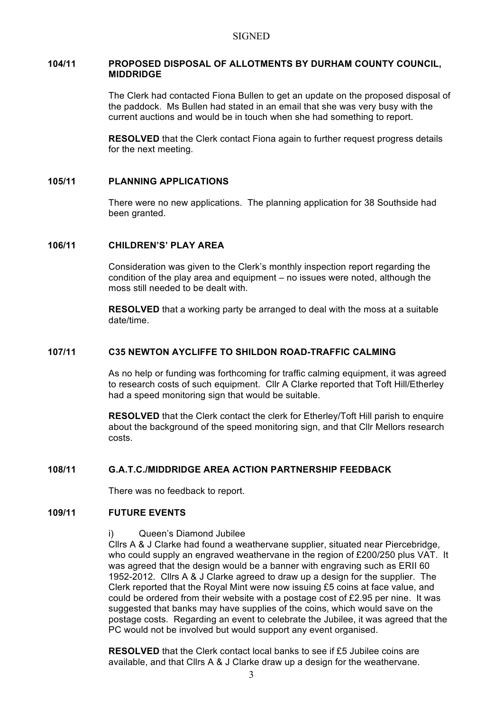#### **SIGNED**

#### **104/11 PROPOSED DISPOSAL OF ALLOTMENTS BY DURHAM COUNTY COUNCIL, MIDDRIDGE**

The Clerk had contacted Fiona Bullen to get an update on the proposed disposal of the paddock. Ms Bullen had stated in an email that she was very busy with the current auctions and would be in touch when she had something to report.

**RESOLVED** that the Clerk contact Fiona again to further request progress details for the next meeting.

### **105/11 PLANNING APPLICATIONS**

There were no new applications. The planning application for 38 Southside had been granted.

# **106/11 CHILDREN'S' PLAY AREA**

Consideration was given to the Clerk's monthly inspection report regarding the condition of the play area and equipment – no issues were noted, although the moss still needed to be dealt with.

**RESOLVED** that a working party be arranged to deal with the moss at a suitable date/time.

# **107/11 C35 NEWTON AYCLIFFE TO SHILDON ROAD-TRAFFIC CALMING**

As no help or funding was forthcoming for traffic calming equipment, it was agreed to research costs of such equipment. Cllr A Clarke reported that Toft Hill/Etherley had a speed monitoring sign that would be suitable.

**RESOLVED** that the Clerk contact the clerk for Etherley/Toft Hill parish to enquire about the background of the speed monitoring sign, and that Cllr Mellors research costs.

# **108/11 G.A.T.C./MIDDRIDGE AREA ACTION PARTNERSHIP FEEDBACK**

There was no feedback to report.

### **109/11 FUTURE EVENTS**

#### i) Queen's Diamond Jubilee

Cllrs A & J Clarke had found a weathervane supplier, situated near Piercebridge, who could supply an engraved weathervane in the region of £200/250 plus VAT. It was agreed that the design would be a banner with engraving such as ERII 60 1952-2012. Cllrs A & J Clarke agreed to draw up a design for the supplier. The Clerk reported that the Royal Mint were now issuing £5 coins at face value, and could be ordered from their website with a postage cost of £2.95 per nine. It was suggested that banks may have supplies of the coins, which would save on the postage costs. Regarding an event to celebrate the Jubilee, it was agreed that the PC would not be involved but would support any event organised.

**RESOLVED** that the Clerk contact local banks to see if £5 Jubilee coins are available, and that Cllrs A & J Clarke draw up a design for the weathervane.